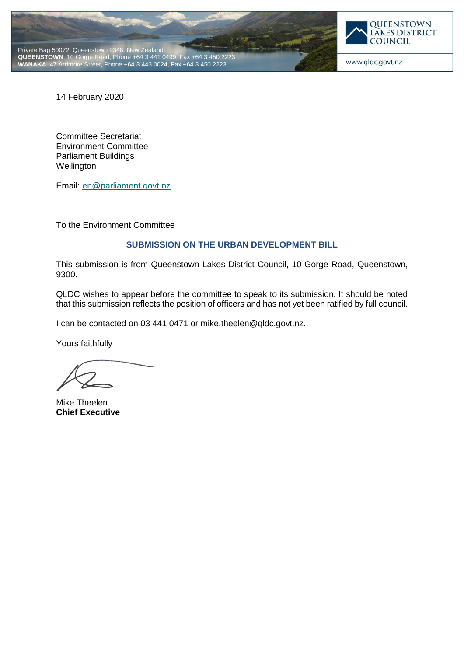



14 February 2020

Committee Secretariat Environment Committee Parliament Buildings **Wellington** 

Email: [en@parliament.govt.nz](mailto:en@parliament.govt.nz)

To the Environment Committee

# **SUBMISSION ON THE URBAN DEVELOPMENT BILL**

This submission is from Queenstown Lakes District Council, 10 Gorge Road, Queenstown, 9300.

QLDC wishes to appear before the committee to speak to its submission. It should be noted that this submission reflects the position of officers and has not yet been ratified by full council.

I can be contacted on 03 441 0471 or mike.theelen@qldc.govt.nz.

Yours faithfully

Mike Theelen **Chief Executive**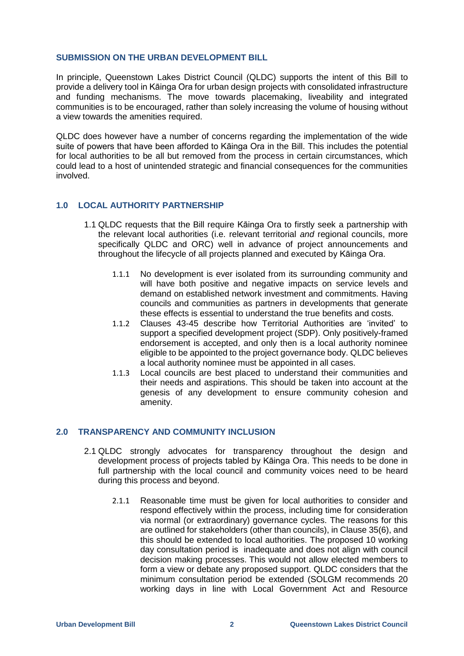### **SUBMISSION ON THE URBAN DEVELOPMENT BILL**

In principle, Queenstown Lakes District Council (QLDC) supports the intent of this Bill to provide a delivery tool in Kāinga Ora for urban design projects with consolidated infrastructure and funding mechanisms. The move towards placemaking, liveability and integrated communities is to be encouraged, rather than solely increasing the volume of housing without a view towards the amenities required.

QLDC does however have a number of concerns regarding the implementation of the wide suite of powers that have been afforded to Kāinga Ora in the Bill. This includes the potential for local authorities to be all but removed from the process in certain circumstances, which could lead to a host of unintended strategic and financial consequences for the communities involved.

## **1.0 LOCAL AUTHORITY PARTNERSHIP**

- 1.1 QLDC requests that the Bill require Kāinga Ora to firstly seek a partnership with the relevant local authorities (i.e. relevant territorial *and* regional councils, more specifically QLDC and ORC) well in advance of project announcements and throughout the lifecycle of all projects planned and executed by Kāinga Ora.
	- 1.1.1 No development is ever isolated from its surrounding community and will have both positive and negative impacts on service levels and demand on established network investment and commitments. Having councils and communities as partners in developments that generate these effects is essential to understand the true benefits and costs.
	- 1.1.2 Clauses 43-45 describe how Territorial Authorities are 'invited' to support a specified development project (SDP). Only positively-framed endorsement is accepted, and only then is a local authority nominee eligible to be appointed to the project governance body. QLDC believes a local authority nominee must be appointed in all cases.
	- 1.1.3 Local councils are best placed to understand their communities and their needs and aspirations. This should be taken into account at the genesis of any development to ensure community cohesion and amenity.

## **2.0 TRANSPARENCY AND COMMUNITY INCLUSION**

- 2.1 QLDC strongly advocates for transparency throughout the design and development process of projects tabled by Kāinga Ora. This needs to be done in full partnership with the local council and community voices need to be heard during this process and beyond.
	- 2.1.1 Reasonable time must be given for local authorities to consider and respond effectively within the process, including time for consideration via normal (or extraordinary) governance cycles. The reasons for this are outlined for stakeholders (other than councils), in Clause 35(6), and this should be extended to local authorities. The proposed 10 working day consultation period is inadequate and does not align with council decision making processes. This would not allow elected members to form a view or debate any proposed support. QLDC considers that the minimum consultation period be extended (SOLGM recommends 20 working days in line with Local Government Act and Resource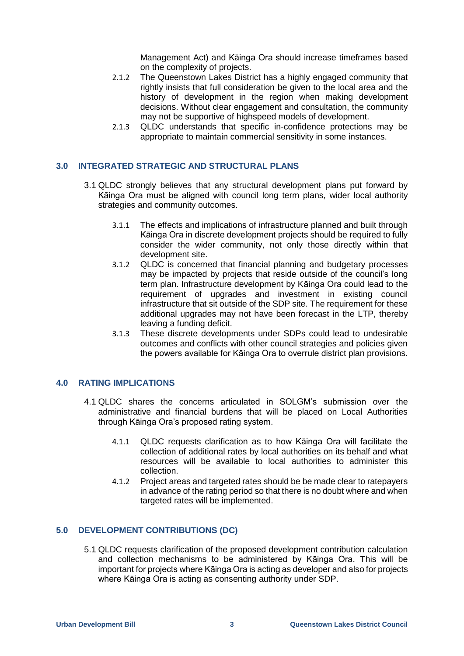Management Act) and Kāinga Ora should increase timeframes based on the complexity of projects.

- 2.1.2 The Queenstown Lakes District has a highly engaged community that rightly insists that full consideration be given to the local area and the history of development in the region when making development decisions. Without clear engagement and consultation, the community may not be supportive of highspeed models of development.
- 2.1.3 QLDC understands that specific in-confidence protections may be appropriate to maintain commercial sensitivity in some instances.

# **3.0 INTEGRATED STRATEGIC AND STRUCTURAL PLANS**

- 3.1 QLDC strongly believes that any structural development plans put forward by Kāinga Ora must be aligned with council long term plans, wider local authority strategies and community outcomes.
	- 3.1.1 The effects and implications of infrastructure planned and built through Kāinga Ora in discrete development projects should be required to fully consider the wider community, not only those directly within that development site.
	- 3.1.2 QLDC is concerned that financial planning and budgetary processes may be impacted by projects that reside outside of the council's long term plan. Infrastructure development by Kāinga Ora could lead to the requirement of upgrades and investment in existing council infrastructure that sit outside of the SDP site. The requirement for these additional upgrades may not have been forecast in the LTP, thereby leaving a funding deficit.
	- 3.1.3 These discrete developments under SDPs could lead to undesirable outcomes and conflicts with other council strategies and policies given the powers available for Kāinga Ora to overrule district plan provisions.

#### **4.0 RATING IMPLICATIONS**

- 4.1 QLDC shares the concerns articulated in SOLGM's submission over the administrative and financial burdens that will be placed on Local Authorities through Kāinga Ora's proposed rating system.
	- 4.1.1 QLDC requests clarification as to how Kāinga Ora will facilitate the collection of additional rates by local authorities on its behalf and what resources will be available to local authorities to administer this collection.
	- 4.1.2 Project areas and targeted rates should be be made clear to ratepayers in advance of the rating period so that there is no doubt where and when targeted rates will be implemented.

#### **5.0 DEVELOPMENT CONTRIBUTIONS (DC)**

5.1 QLDC requests clarification of the proposed development contribution calculation and collection mechanisms to be administered by Kāinga Ora. This will be important for projects where Kāinga Ora is acting as developer and also for projects where Kāinga Ora is acting as consenting authority under SDP.